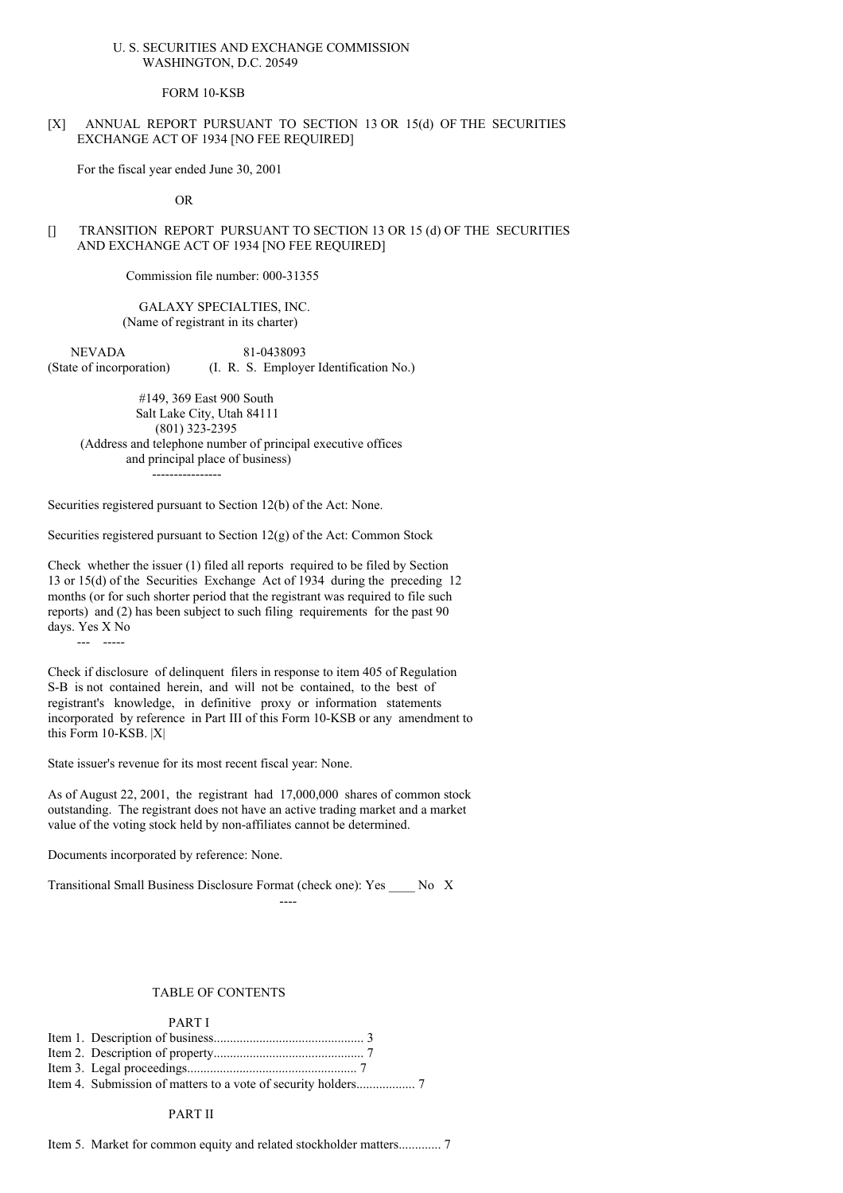### U. S. SECURITIES AND EXCHANGE COMMISSION WASHINGTON, D.C. 20549

#### FORM 10-KSB

## [X] ANNUAL REPORT PURSUANT TO SECTION 13 OR 15(d) OF THE SECURITIES EXCHANGE ACT OF 1934 [NO FEE REQUIRED]

For the fiscal year ended June 30, 2001

OR

## [] TRANSITION REPORT PURSUANT TO SECTION 13 OR 15 (d) OF THE SECURITIES AND EXCHANGE ACT OF 1934 [NO FEE REQUIRED]

Commission file number: 000-31355

### GALAXY SPECIALTIES, INC. (Name of registrant in its charter)

NEVADA 81-0438093 (State of incorporation) (I. R. S. Employer Identification No.)

#149, 369 East 900 South Salt Lake City, Utah 84111 (801) 323-2395 (Address and telephone number of principal executive offices and principal place of business) ----------------

Securities registered pursuant to Section 12(b) of the Act: None.

Securities registered pursuant to Section 12(g) of the Act: Common Stock

Check whether the issuer (1) filed all reports required to be filed by Section 13 or 15(d) of the Securities Exchange Act of 1934 during the preceding 12 months (or for such shorter period that the registrant was required to file such reports) and (2) has been subject to such filing requirements for the past 90 days. Yes X No

--- -----

Check if disclosure of delinquent filers in response to item 405 of Regulation S-B is not contained herein, and will not be contained, to the best of registrant's knowledge, in definitive proxy or information statements incorporated by reference in Part III of this Form 10-KSB or any amendment to this Form 10-KSB. |X|

State issuer's revenue for its most recent fiscal year: None.

As of August 22, 2001, the registrant had 17,000,000 shares of common stock outstanding. The registrant does not have an active trading market and a market value of the voting stock held by non-affiliates cannot be determined.

Documents incorporated by reference: None.

Transitional Small Business Disclosure Format (check one): Yes \_\_\_\_ No X

----

#### TABLE OF CONTENTS

PART I

Item 3. Legal proceedings.................................................... 7

Item 4. Submission of matters to a vote of security holders.................. 7

PART II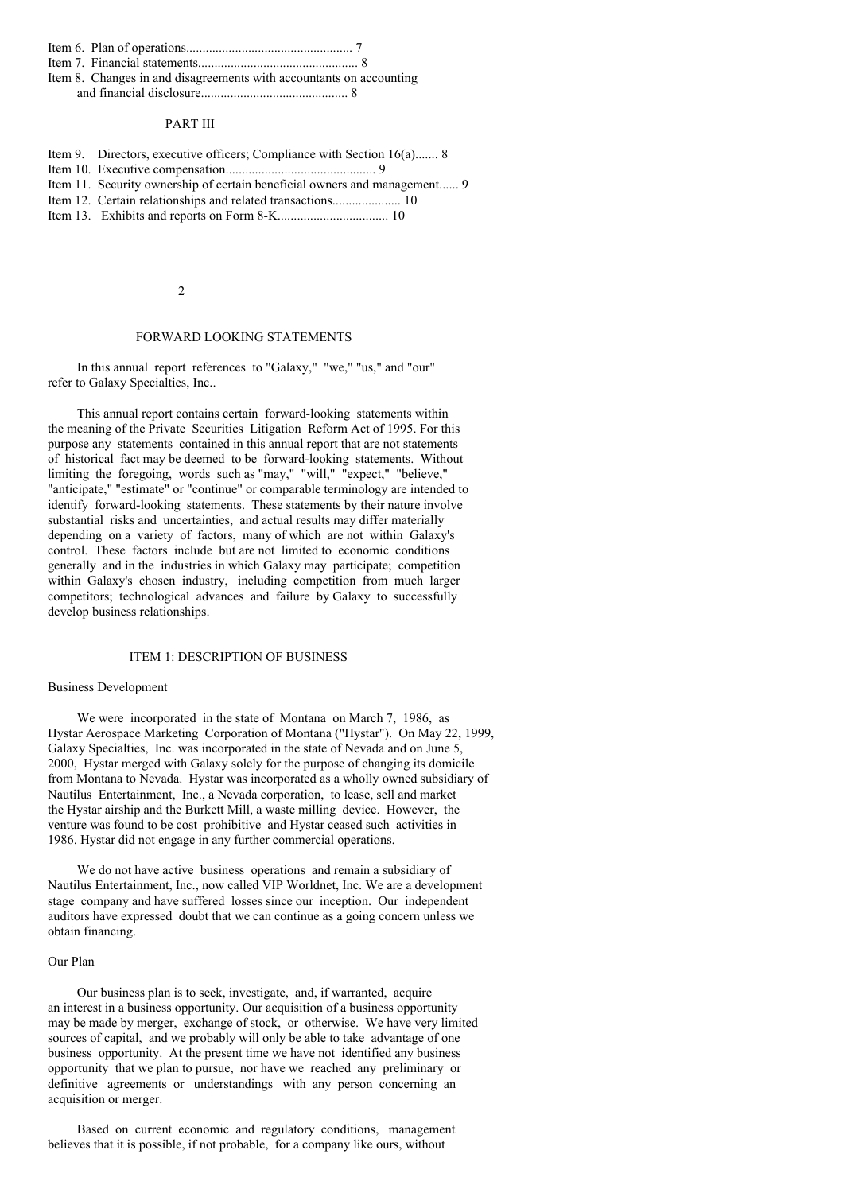|--|--|--|--|

Item 7. Financial statements................................................. 8

Item 8. Changes in and disagreements with accountants on accounting and financial disclosure............................................. 8

#### PART III

- Item 9. Directors, executive officers; Compliance with Section 16(a)....... 8
- Item 10. Executive compensation.............................................. 9
- Item 11. Security ownership of certain beneficial owners and management...... 9
- Item 12. Certain relationships and related transactions..................... 10
- Item 13. Exhibits and reports on Form 8-K.................................. 10

#### $\mathcal{L}$

### FORWARD LOOKING STATEMENTS

In this annual report references to "Galaxy," "we," "us," and "our" refer to Galaxy Specialties, Inc..

This annual report contains certain forward-looking statements within the meaning of the Private Securities Litigation Reform Act of 1995. For this purpose any statements contained in this annual report that are not statements of historical fact may be deemed to be forward-looking statements. Without limiting the foregoing, words such as "may," "will," "expect," "believe," "anticipate," "estimate" or "continue" or comparable terminology are intended to identify forward-looking statements. These statements by their nature involve substantial risks and uncertainties, and actual results may differ materially depending on a variety of factors, many of which are not within Galaxy's control. These factors include but are not limited to economic conditions generally and in the industries in which Galaxy may participate; competition within Galaxy's chosen industry, including competition from much larger competitors; technological advances and failure by Galaxy to successfully develop business relationships.

### ITEM 1: DESCRIPTION OF BUSINESS

#### Business Development

We were incorporated in the state of Montana on March 7, 1986, as Hystar Aerospace Marketing Corporation of Montana ("Hystar"). On May 22, 1999, Galaxy Specialties, Inc. was incorporated in the state of Nevada and on June 5, 2000, Hystar merged with Galaxy solely for the purpose of changing its domicile from Montana to Nevada. Hystar was incorporated as a wholly owned subsidiary of Nautilus Entertainment, Inc., a Nevada corporation, to lease, sell and market the Hystar airship and the Burkett Mill, a waste milling device. However, the venture was found to be cost prohibitive and Hystar ceased such activities in 1986. Hystar did not engage in any further commercial operations.

We do not have active business operations and remain a subsidiary of Nautilus Entertainment, Inc., now called VIP Worldnet, Inc. We are a development stage company and have suffered losses since our inception. Our independent auditors have expressed doubt that we can continue as a going concern unless we obtain financing.

# Our Plan

Our business plan is to seek, investigate, and, if warranted, acquire an interest in a business opportunity. Our acquisition of a business opportunity may be made by merger, exchange of stock, or otherwise. We have very limited sources of capital, and we probably will only be able to take advantage of one business opportunity. At the present time we have not identified any business opportunity that we plan to pursue, nor have we reached any preliminary or definitive agreements or understandings with any person concerning an acquisition or merger.

Based on current economic and regulatory conditions, management believes that it is possible, if not probable, for a company like ours, without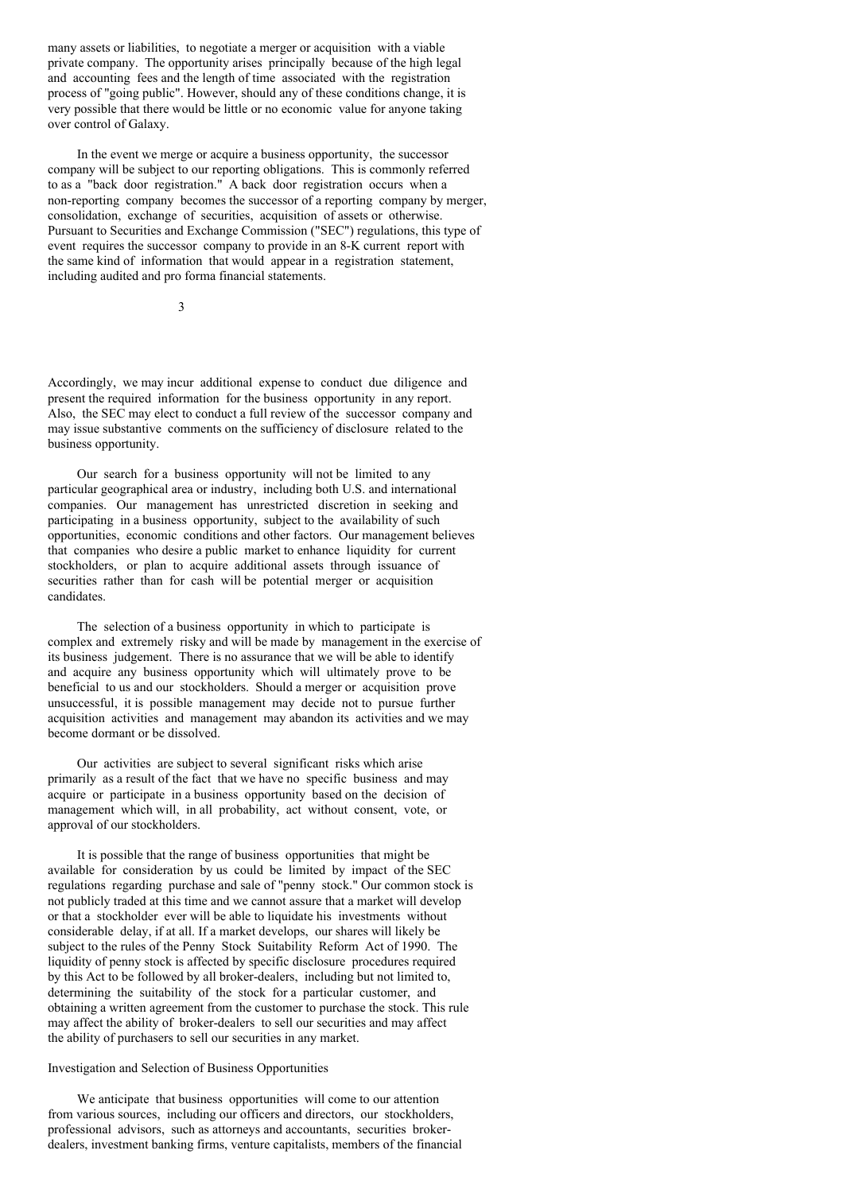many assets or liabilities, to negotiate a merger or acquisition with a viable private company. The opportunity arises principally because of the high legal and accounting fees and the length of time associated with the registration process of "going public". However, should any of these conditions change, it is very possible that there would be little or no economic value for anyone taking over control of Galaxy.

In the event we merge or acquire a business opportunity, the successor company will be subject to our reporting obligations. This is commonly referred to as a "back door registration." A back door registration occurs when a non-reporting company becomes the successor of a reporting company by merger, consolidation, exchange of securities, acquisition of assets or otherwise. Pursuant to Securities and Exchange Commission ("SEC") regulations, this type of event requires the successor company to provide in an 8-K current report with the same kind of information that would appear in a registration statement, including audited and pro forma financial statements.

3

Accordingly, we may incur additional expense to conduct due diligence and present the required information for the business opportunity in any report. Also, the SEC may elect to conduct a full review of the successor company and may issue substantive comments on the sufficiency of disclosure related to the business opportunity.

Our search for a business opportunity will not be limited to any particular geographical area or industry, including both U.S. and international companies. Our management has unrestricted discretion in seeking and participating in a business opportunity, subject to the availability of such opportunities, economic conditions and other factors. Our management believes that companies who desire a public market to enhance liquidity for current stockholders, or plan to acquire additional assets through issuance of securities rather than for cash will be potential merger or acquisition candidates.

The selection of a business opportunity in which to participate is complex and extremely risky and will be made by management in the exercise of its business judgement. There is no assurance that we will be able to identify and acquire any business opportunity which will ultimately prove to be beneficial to us and our stockholders. Should a merger or acquisition prove unsuccessful, it is possible management may decide not to pursue further acquisition activities and management may abandon its activities and we may become dormant or be dissolved.

Our activities are subject to several significant risks which arise primarily as a result of the fact that we have no specific business and may acquire or participate in a business opportunity based on the decision of management which will, in all probability, act without consent, vote, or approval of our stockholders.

It is possible that the range of business opportunities that might be available for consideration by us could be limited by impact of the SEC regulations regarding purchase and sale of "penny stock." Our common stock is not publicly traded at this time and we cannot assure that a market will develop or that a stockholder ever will be able to liquidate his investments without considerable delay, if at all. If a market develops, our shares will likely be subject to the rules of the Penny Stock Suitability Reform Act of 1990. The liquidity of penny stock is affected by specific disclosure procedures required by this Act to be followed by all broker-dealers, including but not limited to, determining the suitability of the stock for a particular customer, and obtaining a written agreement from the customer to purchase the stock. This rule may affect the ability of broker-dealers to sell our securities and may affect the ability of purchasers to sell our securities in any market.

### Investigation and Selection of Business Opportunities

We anticipate that business opportunities will come to our attention from various sources, including our officers and directors, our stockholders, professional advisors, such as attorneys and accountants, securities brokerdealers, investment banking firms, venture capitalists, members of the financial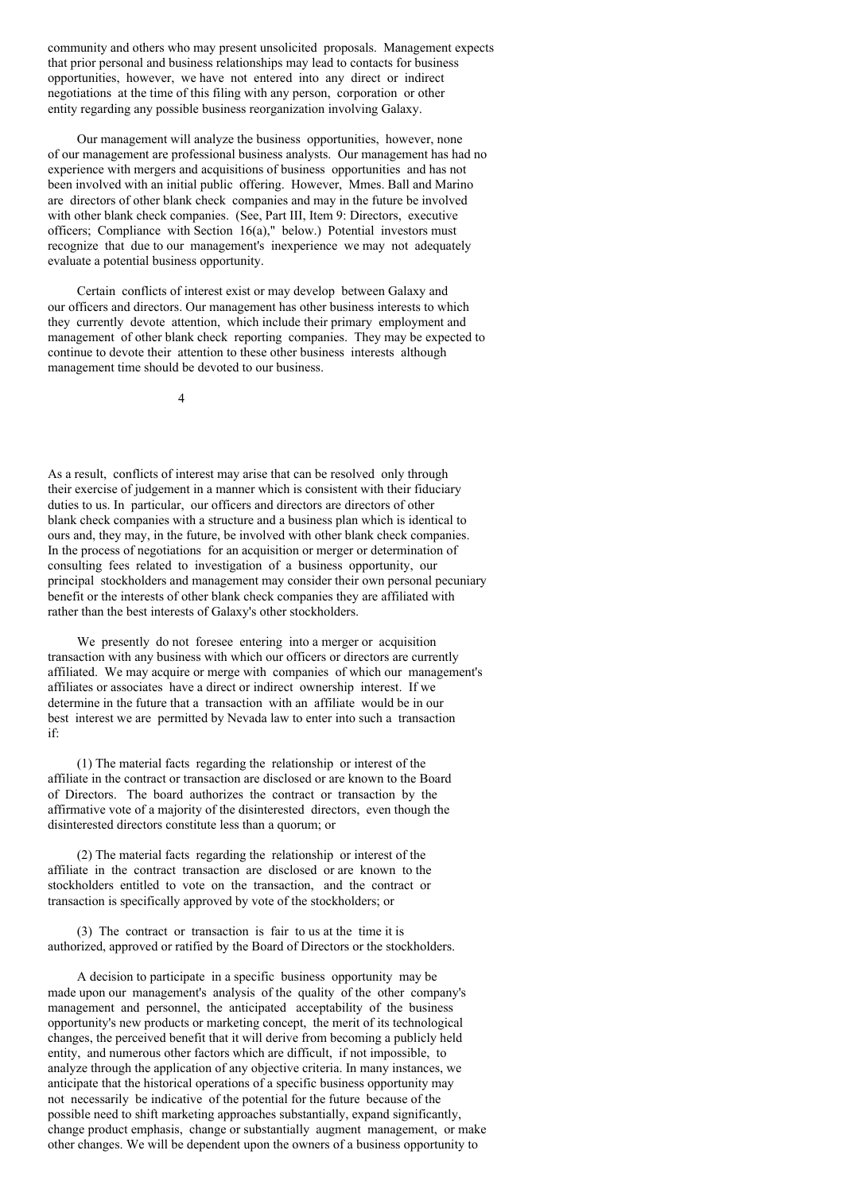community and others who may present unsolicited proposals. Management expects that prior personal and business relationships may lead to contacts for business opportunities, however, we have not entered into any direct or indirect negotiations at the time of this filing with any person, corporation or other entity regarding any possible business reorganization involving Galaxy.

Our management will analyze the business opportunities, however, none of our management are professional business analysts. Our management has had no experience with mergers and acquisitions of business opportunities and has not been involved with an initial public offering. However, Mmes. Ball and Marino are directors of other blank check companies and may in the future be involved with other blank check companies. (See, Part III, Item 9: Directors, executive officers; Compliance with Section 16(a)," below.) Potential investors must recognize that due to our management's inexperience we may not adequately evaluate a potential business opportunity.

Certain conflicts of interest exist or may develop between Galaxy and our officers and directors. Our management has other business interests to which they currently devote attention, which include their primary employment and management of other blank check reporting companies. They may be expected to continue to devote their attention to these other business interests although management time should be devoted to our business.

4

As a result, conflicts of interest may arise that can be resolved only through their exercise of judgement in a manner which is consistent with their fiduciary duties to us. In particular, our officers and directors are directors of other blank check companies with a structure and a business plan which is identical to ours and, they may, in the future, be involved with other blank check companies. In the process of negotiations for an acquisition or merger or determination of consulting fees related to investigation of a business opportunity, our principal stockholders and management may consider their own personal pecuniary benefit or the interests of other blank check companies they are affiliated with rather than the best interests of Galaxy's other stockholders.

We presently do not foresee entering into a merger or acquisition transaction with any business with which our officers or directors are currently affiliated. We may acquire or merge with companies of which our management's affiliates or associates have a direct or indirect ownership interest. If we determine in the future that a transaction with an affiliate would be in our best interest we are permitted by Nevada law to enter into such a transaction if:

(1) The material facts regarding the relationship or interest of the affiliate in the contract or transaction are disclosed or are known to the Board of Directors. The board authorizes the contract or transaction by the affirmative vote of a majority of the disinterested directors, even though the disinterested directors constitute less than a quorum; or

(2) The material facts regarding the relationship or interest of the affiliate in the contract transaction are disclosed or are known to the stockholders entitled to vote on the transaction, and the contract or transaction is specifically approved by vote of the stockholders; or

(3) The contract or transaction is fair to us at the time it is authorized, approved or ratified by the Board of Directors or the stockholders.

A decision to participate in a specific business opportunity may be made upon our management's analysis of the quality of the other company's management and personnel, the anticipated acceptability of the business opportunity's new products or marketing concept, the merit of its technological changes, the perceived benefit that it will derive from becoming a publicly held entity, and numerous other factors which are difficult, if not impossible, to analyze through the application of any objective criteria. In many instances, we anticipate that the historical operations of a specific business opportunity may not necessarily be indicative of the potential for the future because of the possible need to shift marketing approaches substantially, expand significantly, change product emphasis, change or substantially augment management, or make other changes. We will be dependent upon the owners of a business opportunity to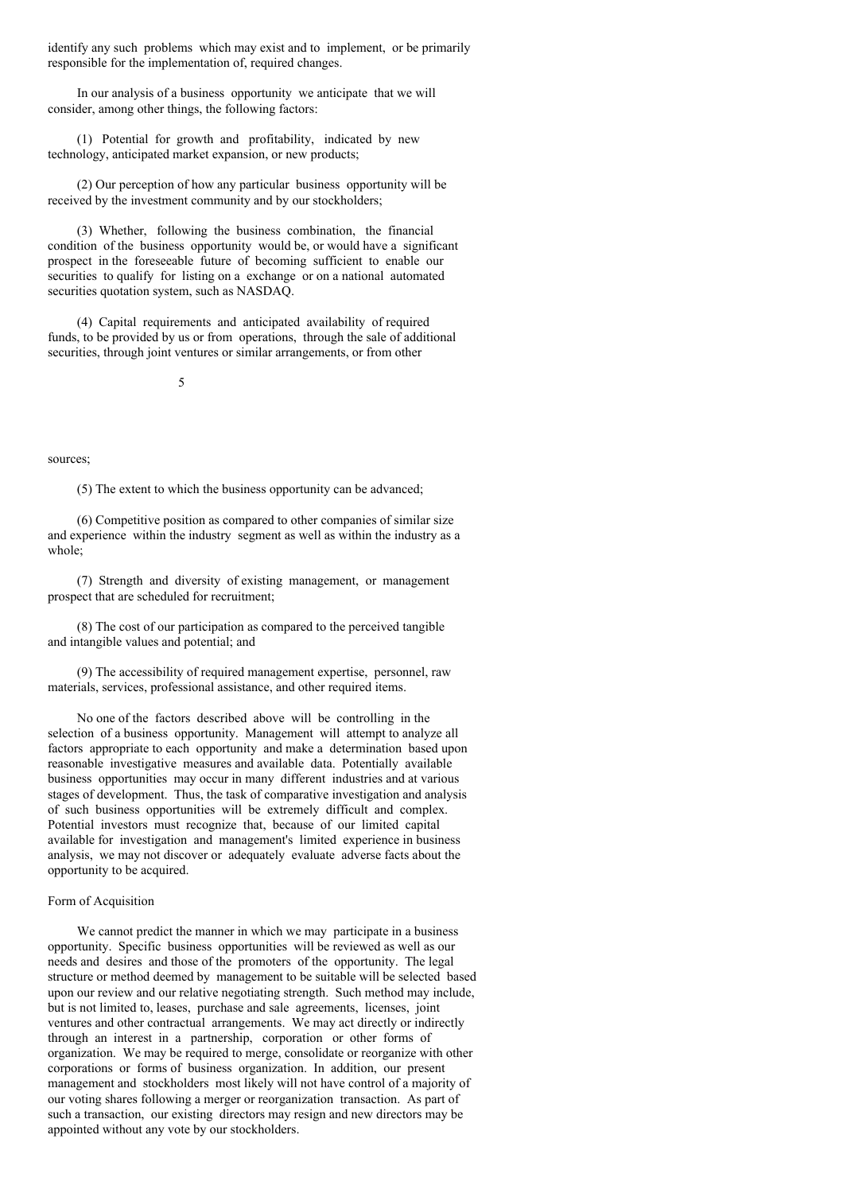identify any such problems which may exist and to implement, or be primarily responsible for the implementation of, required changes.

In our analysis of a business opportunity we anticipate that we will consider, among other things, the following factors:

(1) Potential for growth and profitability, indicated by new technology, anticipated market expansion, or new products;

(2) Our perception of how any particular business opportunity will be received by the investment community and by our stockholders;

(3) Whether, following the business combination, the financial condition of the business opportunity would be, or would have a significant prospect in the foreseeable future of becoming sufficient to enable our securities to qualify for listing on a exchange or on a national automated securities quotation system, such as NASDAQ.

(4) Capital requirements and anticipated availability of required funds, to be provided by us or from operations, through the sale of additional securities, through joint ventures or similar arrangements, or from other

5

sources;

(5) The extent to which the business opportunity can be advanced;

(6) Competitive position as compared to other companies of similar size and experience within the industry segment as well as within the industry as a whole;

(7) Strength and diversity of existing management, or management prospect that are scheduled for recruitment;

(8) The cost of our participation as compared to the perceived tangible and intangible values and potential; and

(9) The accessibility of required management expertise, personnel, raw materials, services, professional assistance, and other required items.

No one of the factors described above will be controlling in the selection of a business opportunity. Management will attempt to analyze all factors appropriate to each opportunity and make a determination based upon reasonable investigative measures and available data. Potentially available business opportunities may occur in many different industries and at various stages of development. Thus, the task of comparative investigation and analysis of such business opportunities will be extremely difficult and complex. Potential investors must recognize that, because of our limited capital available for investigation and management's limited experience in business analysis, we may not discover or adequately evaluate adverse facts about the opportunity to be acquired.

#### Form of Acquisition

We cannot predict the manner in which we may participate in a business opportunity. Specific business opportunities will be reviewed as well as our needs and desires and those of the promoters of the opportunity. The legal structure or method deemed by management to be suitable will be selected based upon our review and our relative negotiating strength. Such method may include, but is not limited to, leases, purchase and sale agreements, licenses, joint ventures and other contractual arrangements. We may act directly or indirectly through an interest in a partnership, corporation or other forms of organization. We may be required to merge, consolidate or reorganize with other corporations or forms of business organization. In addition, our present management and stockholders most likely will not have control of a majority of our voting shares following a merger or reorganization transaction. As part of such a transaction, our existing directors may resign and new directors may be appointed without any vote by our stockholders.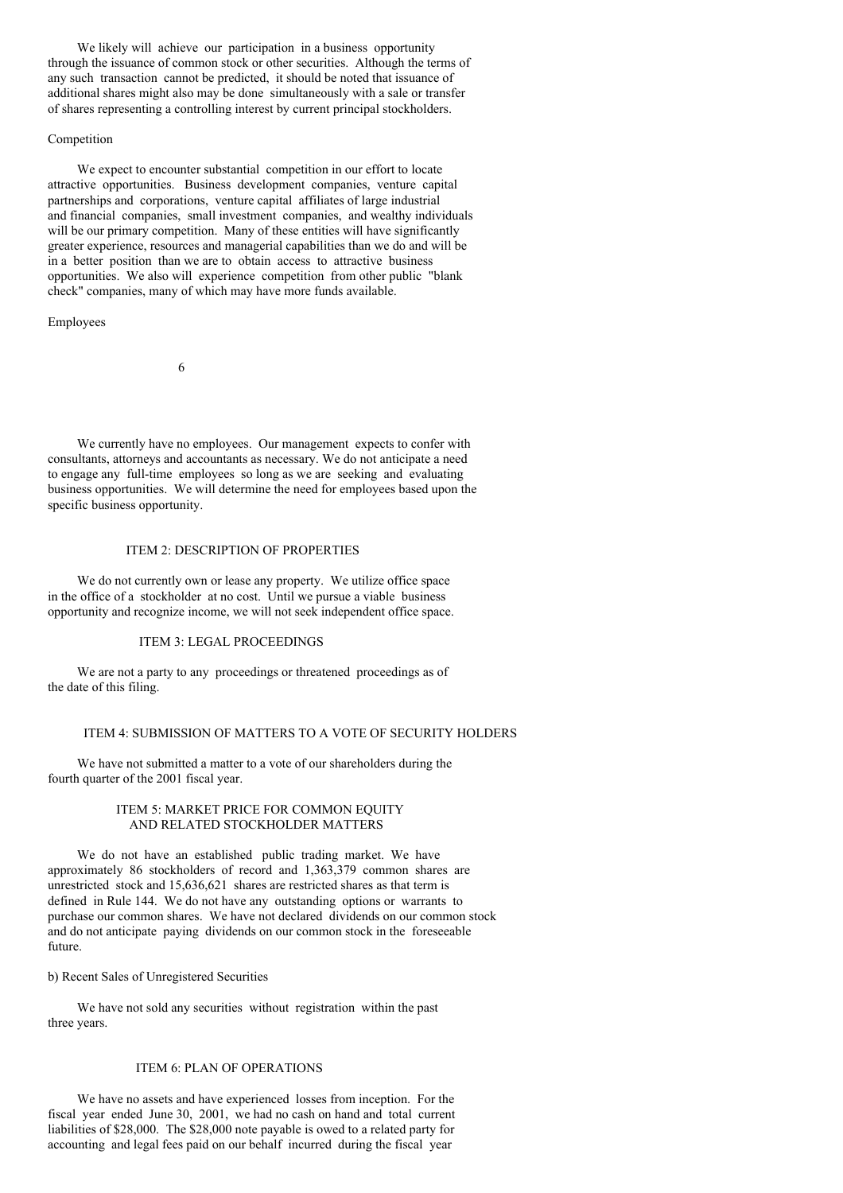We likely will achieve our participation in a business opportunity through the issuance of common stock or other securities. Although the terms of any such transaction cannot be predicted, it should be noted that issuance of additional shares might also may be done simultaneously with a sale or transfer of shares representing a controlling interest by current principal stockholders.

### Competition

We expect to encounter substantial competition in our effort to locate attractive opportunities. Business development companies, venture capital partnerships and corporations, venture capital affiliates of large industrial and financial companies, small investment companies, and wealthy individuals will be our primary competition. Many of these entities will have significantly greater experience, resources and managerial capabilities than we do and will be in a better position than we are to obtain access to attractive business opportunities. We also will experience competition from other public "blank check" companies, many of which may have more funds available.

Employees

6

We currently have no employees. Our management expects to confer with consultants, attorneys and accountants as necessary. We do not anticipate a need to engage any full-time employees so long as we are seeking and evaluating business opportunities. We will determine the need for employees based upon the specific business opportunity.

## ITEM 2: DESCRIPTION OF PROPERTIES

We do not currently own or lease any property. We utilize office space in the office of a stockholder at no cost. Until we pursue a viable business opportunity and recognize income, we will not seek independent office space.

### ITEM 3: LEGAL PROCEEDINGS

We are not a party to any proceedings or threatened proceedings as of the date of this filing.

### ITEM 4: SUBMISSION OF MATTERS TO A VOTE OF SECURITY HOLDERS

We have not submitted a matter to a vote of our shareholders during the fourth quarter of the 2001 fiscal year.

## ITEM 5: MARKET PRICE FOR COMMON EQUITY AND RELATED STOCKHOLDER MATTERS

We do not have an established public trading market. We have approximately 86 stockholders of record and 1,363,379 common shares are unrestricted stock and 15,636,621 shares are restricted shares as that term is defined in Rule 144. We do not have any outstanding options or warrants to purchase our common shares. We have not declared dividends on our common stock and do not anticipate paying dividends on our common stock in the foreseeable future.

b) Recent Sales of Unregistered Securities

We have not sold any securities without registration within the past three years.

# ITEM 6: PLAN OF OPERATIONS

We have no assets and have experienced losses from inception. For the fiscal year ended June 30, 2001, we had no cash on hand and total current liabilities of \$28,000. The \$28,000 note payable is owed to a related party for accounting and legal fees paid on our behalf incurred during the fiscal year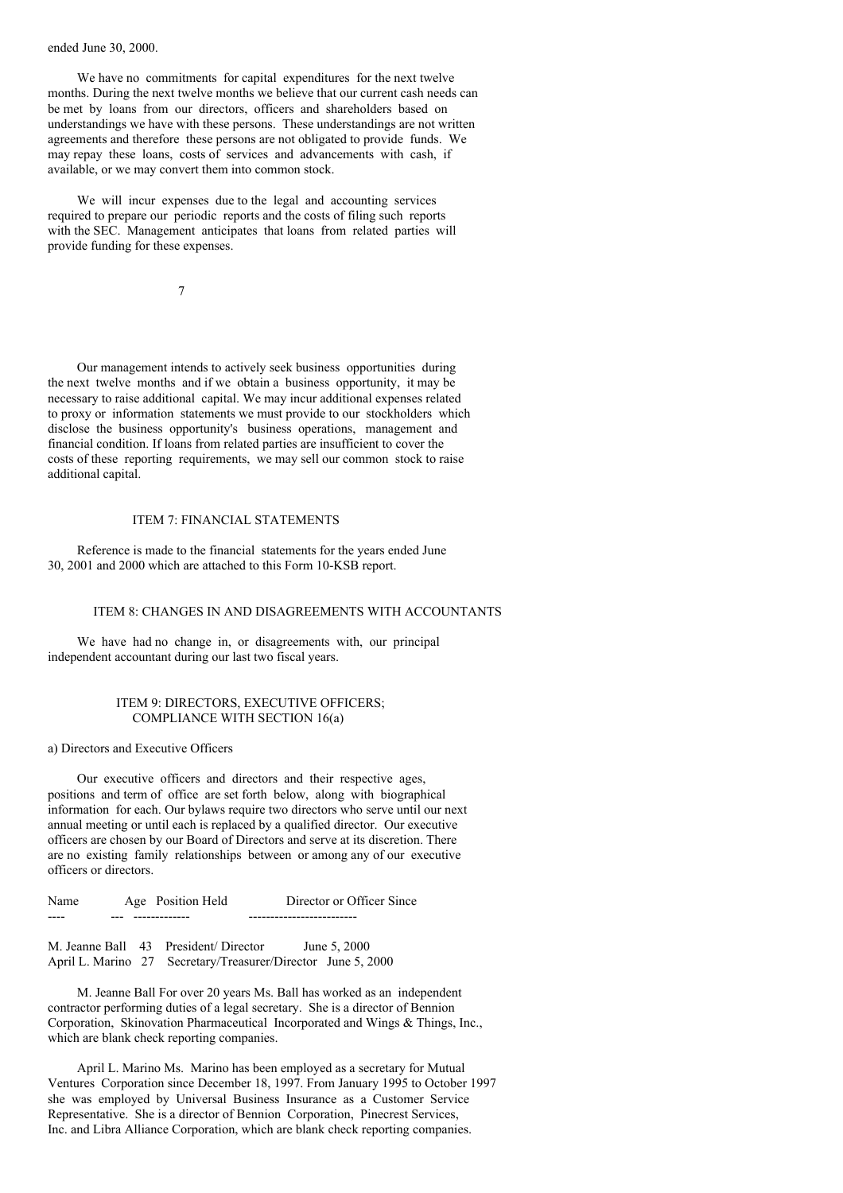ended June 30, 2000.

We have no commitments for capital expenditures for the next twelve months. During the next twelve months we believe that our current cash needs can be met by loans from our directors, officers and shareholders based on understandings we have with these persons. These understandings are not written agreements and therefore these persons are not obligated to provide funds. We may repay these loans, costs of services and advancements with cash, if available, or we may convert them into common stock.

We will incur expenses due to the legal and accounting services required to prepare our periodic reports and the costs of filing such reports with the SEC. Management anticipates that loans from related parties will provide funding for these expenses.

7

Our management intends to actively seek business opportunities during the next twelve months and if we obtain a business opportunity, it may be necessary to raise additional capital. We may incur additional expenses related to proxy or information statements we must provide to our stockholders which disclose the business opportunity's business operations, management and financial condition. If loans from related parties are insufficient to cover the costs of these reporting requirements, we may sell our common stock to raise additional capital.

### ITEM 7: FINANCIAL STATEMENTS

Reference is made to the financial statements for the years ended June 30, 2001 and 2000 which are attached to this Form 10-KSB report.

# ITEM 8: CHANGES IN AND DISAGREEMENTS WITH ACCOUNTANTS

We have had no change in, or disagreements with, our principal independent accountant during our last two fiscal years.

### ITEM 9: DIRECTORS, EXECUTIVE OFFICERS; COMPLIANCE WITH SECTION 16(a)

a) Directors and Executive Officers

Our executive officers and directors and their respective ages, positions and term of office are set forth below, along with biographical information for each. Our bylaws require two directors who serve until our next annual meeting or until each is replaced by a qualified director. Our executive officers are chosen by our Board of Directors and serve at its discretion. There are no existing family relationships between or among any of our executive officers or directors.

Name Age Position Held Director or Officer Since ---- --- ------------- -------------------------

M. Jeanne Ball 43 President/ Director June 5, 2000 April L. Marino 27 Secretary/Treasurer/Director June 5, 2000

M. Jeanne Ball For over 20 years Ms. Ball has worked as an independent contractor performing duties of a legal secretary. She is a director of Bennion Corporation, Skinovation Pharmaceutical Incorporated and Wings & Things, Inc., which are blank check reporting companies.

April L. Marino Ms. Marino has been employed as a secretary for Mutual Ventures Corporation since December 18, 1997. From January 1995 to October 1997 she was employed by Universal Business Insurance as a Customer Service Representative. She is a director of Bennion Corporation, Pinecrest Services, Inc. and Libra Alliance Corporation, which are blank check reporting companies.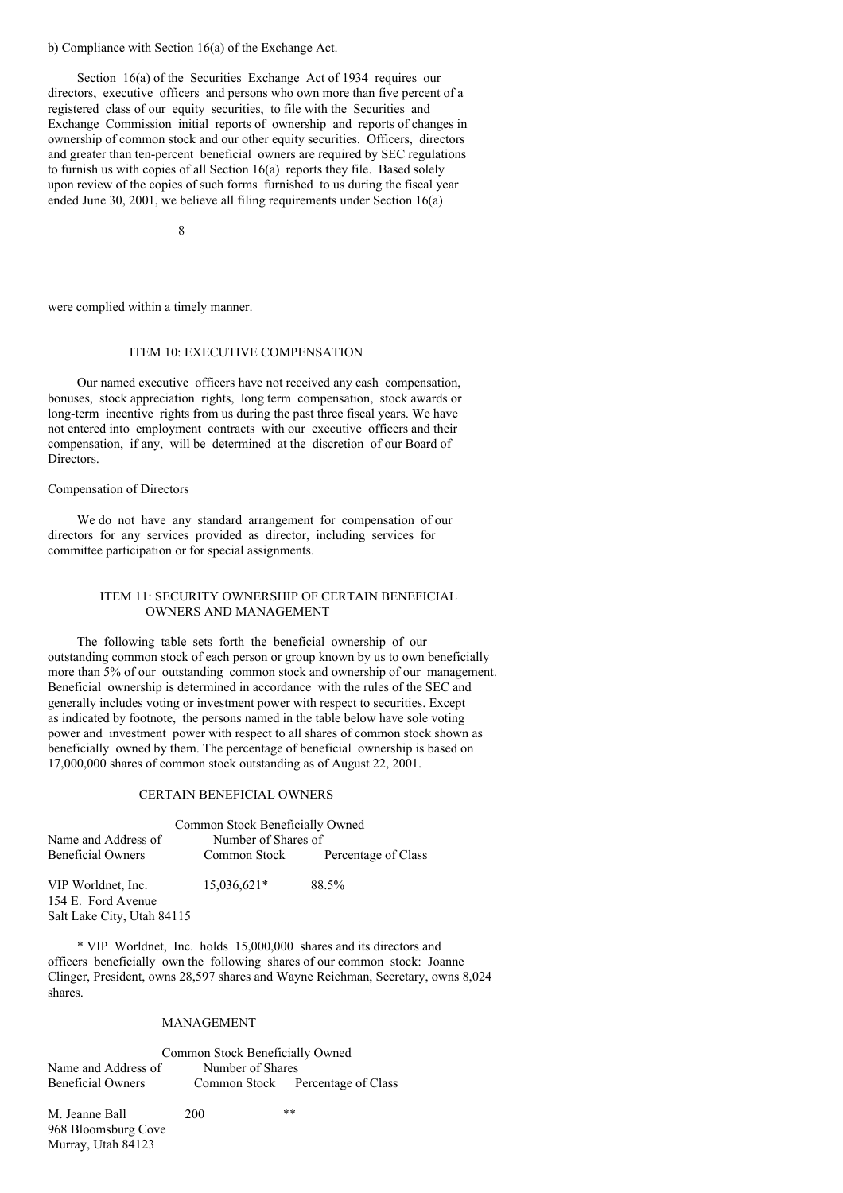## b) Compliance with Section 16(a) of the Exchange Act.

Section 16(a) of the Securities Exchange Act of 1934 requires our directors, executive officers and persons who own more than five percent of a registered class of our equity securities, to file with the Securities and Exchange Commission initial reports of ownership and reports of changes in ownership of common stock and our other equity securities. Officers, directors and greater than ten-percent beneficial owners are required by SEC regulations to furnish us with copies of all Section 16(a) reports they file. Based solely upon review of the copies of such forms furnished to us during the fiscal year ended June 30, 2001, we believe all filing requirements under Section  $16(a)$ 

8

were complied within a timely manner.

# ITEM 10: EXECUTIVE COMPENSATION

Our named executive officers have not received any cash compensation, bonuses, stock appreciation rights, long term compensation, stock awards or long-term incentive rights from us during the past three fiscal years. We have not entered into employment contracts with our executive officers and their compensation, if any, will be determined at the discretion of our Board of Directors.

# Compensation of Directors

We do not have any standard arrangement for compensation of our directors for any services provided as director, including services for committee participation or for special assignments.

# ITEM 11: SECURITY OWNERSHIP OF CERTAIN BENEFICIAL OWNERS AND MANAGEMENT

The following table sets forth the beneficial ownership of our outstanding common stock of each person or group known by us to own beneficially more than 5% of our outstanding common stock and ownership of our management. Beneficial ownership is determined in accordance with the rules of the SEC and generally includes voting or investment power with respect to securities. Except as indicated by footnote, the persons named in the table below have sole voting power and investment power with respect to all shares of common stock shown as beneficially owned by them. The percentage of beneficial ownership is based on 17,000,000 shares of common stock outstanding as of August 22, 2001.

### CERTAIN BENEFICIAL OWNERS

|                                          | Common Stock Beneficially Owned |                     |
|------------------------------------------|---------------------------------|---------------------|
| Name and Address of                      | Number of Shares of             |                     |
| <b>Beneficial Owners</b>                 | Common Stock                    | Percentage of Class |
| VIP Worldnet, Inc.<br>154 E. Ford Avenue | 15,036,621*                     | 88.5%               |

154 E. Ford Avenue Salt Lake City, Utah 84115

\* VIP Worldnet, Inc. holds 15,000,000 shares and its directors and officers beneficially own the following shares of our common stock: Joanne Clinger, President, owns 28,597 shares and Wayne Reichman, Secretary, owns 8,024 shares.

#### MANAGEMENT

# Common Stock Beneficially Owned Name and Address of Number of Shares<br>
Beneficial Owners Common Stock F Common Stock Percentage of Class

M. Jeanne Ball 200 \*\* 968 Bloomsburg Cove Murray, Utah 84123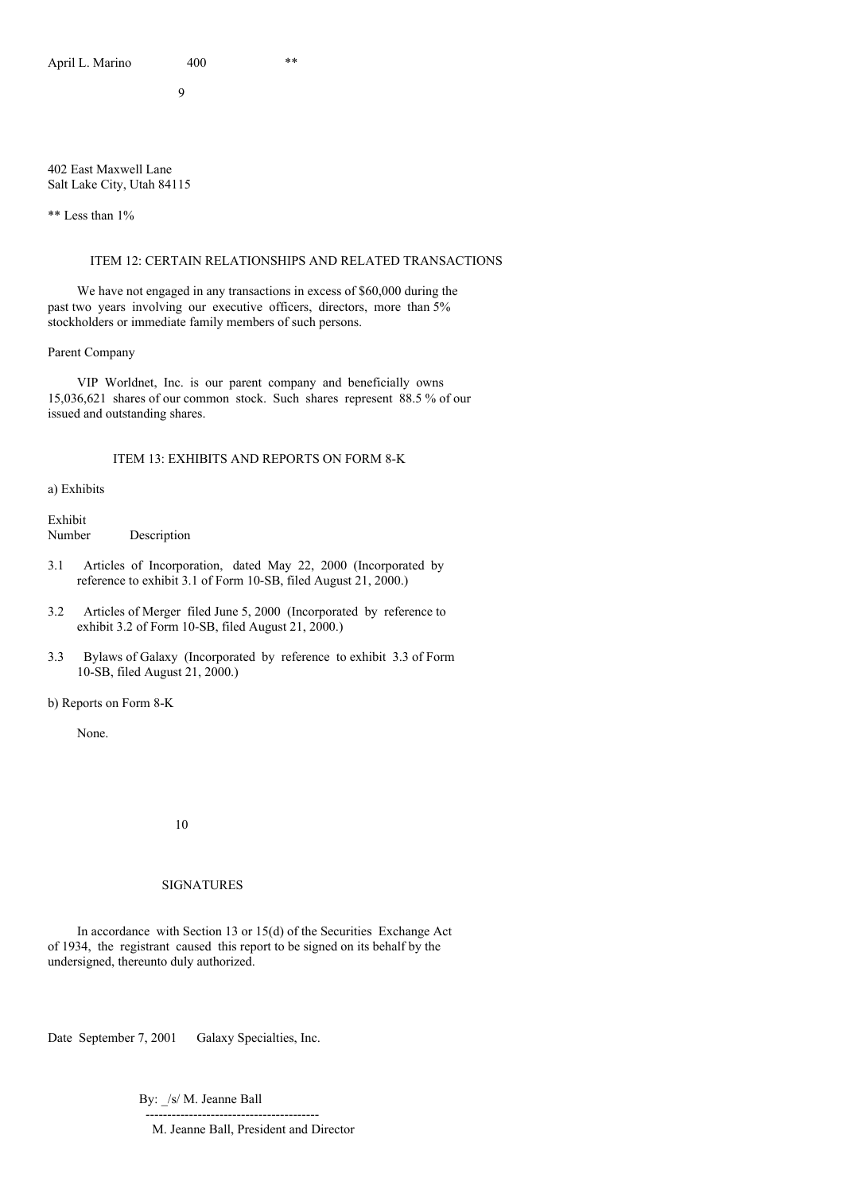9

### 402 East Maxwell Lane Salt Lake City, Utah 84115

\*\* Less than 1%

# ITEM 12: CERTAIN RELATIONSHIPS AND RELATED TRANSACTIONS

We have not engaged in any transactions in excess of \$60,000 during the past two years involving our executive officers, directors, more than 5% stockholders or immediate family members of such persons.

Parent Company

VIP Worldnet, Inc. is our parent company and beneficially owns 15,036,621 shares of our common stock. Such shares represent 88.5 % of our issued and outstanding shares.

# ITEM 13: EXHIBITS AND REPORTS ON FORM 8-K

a) Exhibits

Exhibit Number Description

- 3.1 Articles of Incorporation, dated May 22, 2000 (Incorporated by reference to exhibit 3.1 of Form 10-SB, filed August 21, 2000.)
- 3.2 Articles of Merger filed June 5, 2000 (Incorporated by reference to exhibit 3.2 of Form 10-SB, filed August 21, 2000.)
- 3.3 Bylaws of Galaxy (Incorporated by reference to exhibit 3.3 of Form 10-SB, filed August 21, 2000.)

b) Reports on Form 8-K

None.

10

# SIGNATURES

In accordance with Section 13 or 15(d) of the Securities Exchange Act of 1934, the registrant caused this report to be signed on its behalf by the undersigned, thereunto duly authorized.

Date September 7, 2001 Galaxy Specialties, Inc.

By: /s/ M. Jeanne Ball

---------------------------------------- M. Jeanne Ball, President and Director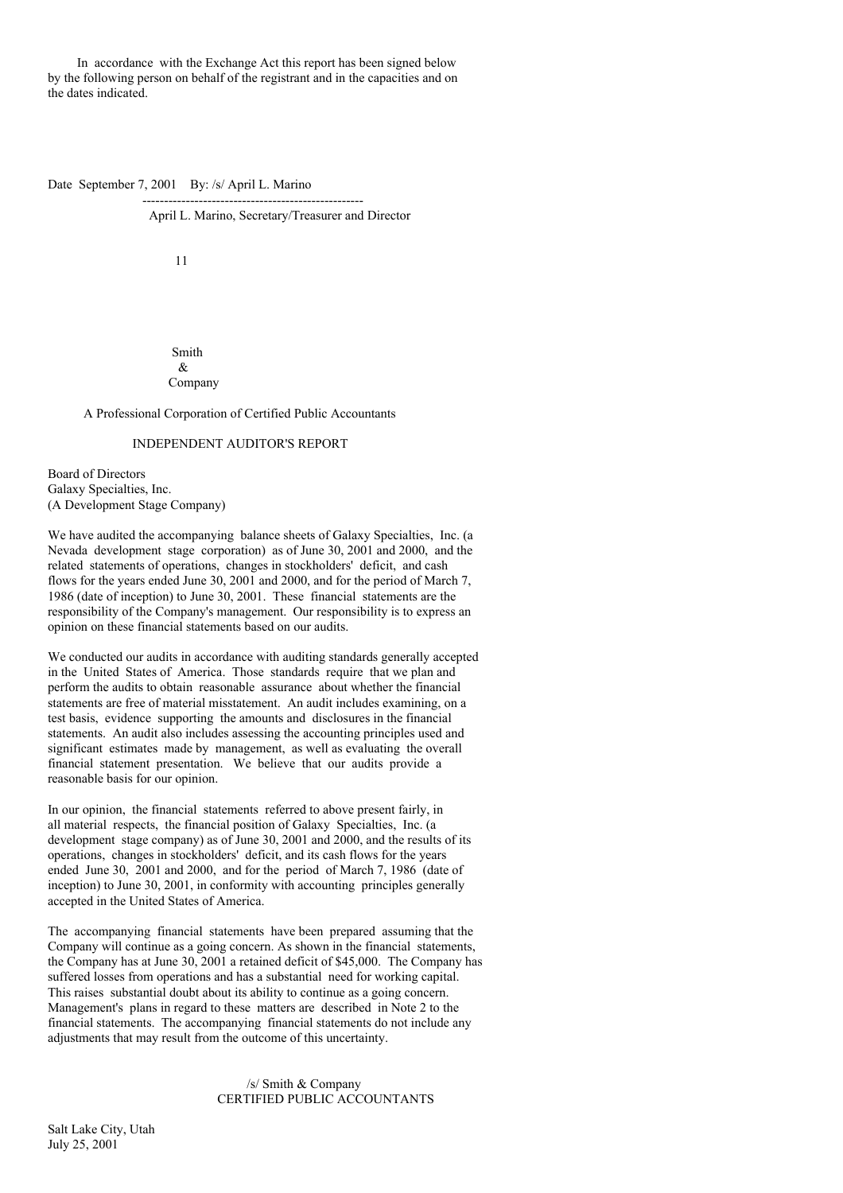In accordance with the Exchange Act this report has been signed below by the following person on behalf of the registrant and in the capacities and on the dates indicated.

---------------------------------------------------

Date September 7, 2001 By: /s/ April L. Marino

April L. Marino, Secretary/Treasurer and Director

11

Smith  $\mathcal{R}$ Company

A Professional Corporation of Certified Public Accountants

# INDEPENDENT AUDITOR'S REPORT

Board of Directors Galaxy Specialties, Inc. (A Development Stage Company)

We have audited the accompanying balance sheets of Galaxy Specialties, Inc. (a Nevada development stage corporation) as of June 30, 2001 and 2000, and the related statements of operations, changes in stockholders' deficit, and cash flows for the years ended June 30, 2001 and 2000, and for the period of March 7, 1986 (date of inception) to June 30, 2001. These financial statements are the responsibility of the Company's management. Our responsibility is to express an opinion on these financial statements based on our audits.

We conducted our audits in accordance with auditing standards generally accepted in the United States of America. Those standards require that we plan and perform the audits to obtain reasonable assurance about whether the financial statements are free of material misstatement. An audit includes examining, on a test basis, evidence supporting the amounts and disclosures in the financial statements. An audit also includes assessing the accounting principles used and significant estimates made by management, as well as evaluating the overall financial statement presentation. We believe that our audits provide a reasonable basis for our opinion.

In our opinion, the financial statements referred to above present fairly, in all material respects, the financial position of Galaxy Specialties, Inc. (a development stage company) as of June 30, 2001 and 2000, and the results of its operations, changes in stockholders' deficit, and its cash flows for the years ended June 30, 2001 and 2000, and for the period of March 7, 1986 (date of inception) to June 30, 2001, in conformity with accounting principles generally accepted in the United States of America.

The accompanying financial statements have been prepared assuming that the Company will continue as a going concern. As shown in the financial statements, the Company has at June 30, 2001 a retained deficit of \$45,000. The Company has suffered losses from operations and has a substantial need for working capital. This raises substantial doubt about its ability to continue as a going concern. Management's plans in regard to these matters are described in Note 2 to the financial statements. The accompanying financial statements do not include any adjustments that may result from the outcome of this uncertainty.

## /s/ Smith & Company CERTIFIED PUBLIC ACCOUNTANTS

Salt Lake City, Utah July 25, 2001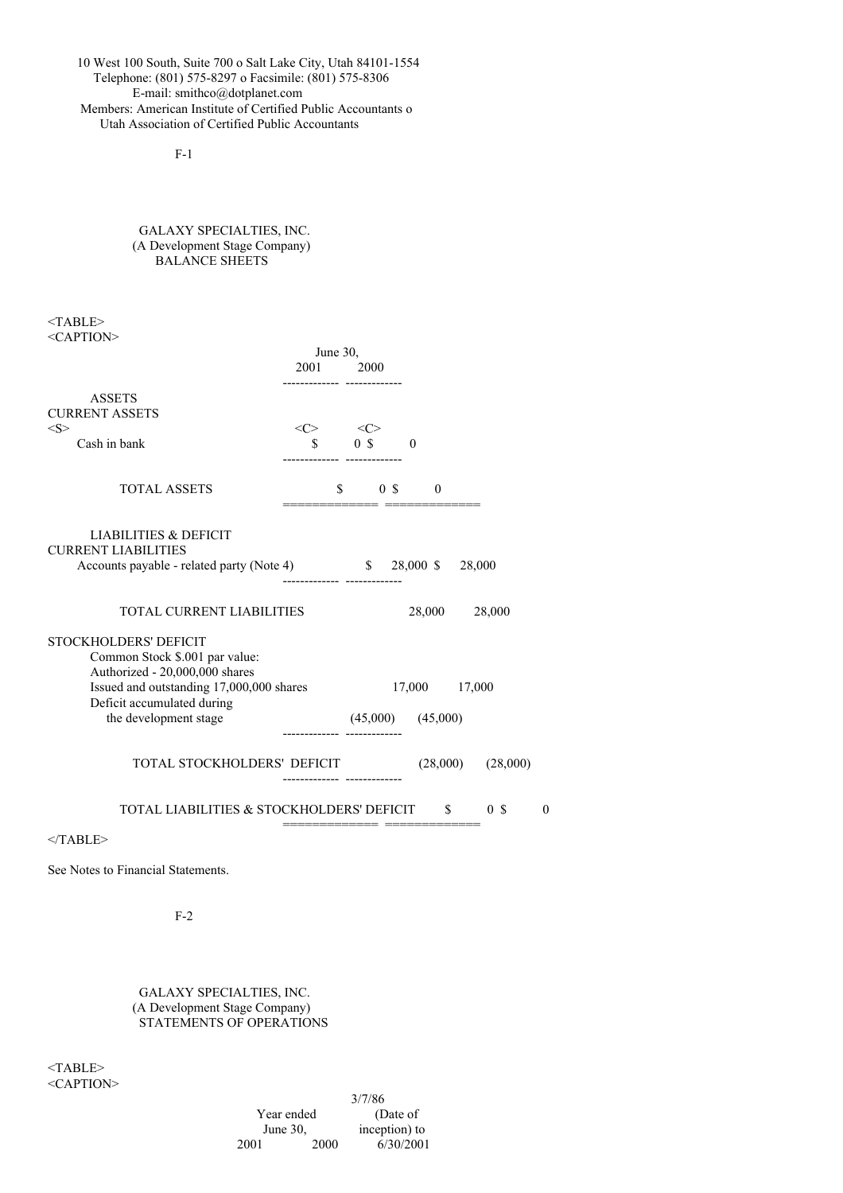10 West 100 South, Suite 700 o Salt Lake City, Utah 84101-1554 Telephone: (801) 575-8297 o Facsimile: (801) 575-8306 E-mail: smithco@dotplanet.com Members: American Institute of Certified Public Accountants o Utah Association of Certified Public Accountants

F-1

GALAXY SPECIALTIES, INC. (A Development Stage Company) BALANCE SHEETS

<TABLE> <CAPTION>

|                                                                        | June 30,                                |  | 2000                  |               |        |              |               |                       |          |
|------------------------------------------------------------------------|-----------------------------------------|--|-----------------------|---------------|--------|--------------|---------------|-----------------------|----------|
|                                                                        | 2001                                    |  |                       |               |        |              |               |                       |          |
| <b>ASSETS</b>                                                          |                                         |  |                       |               |        |              |               |                       |          |
| <b>CURRENT ASSETS</b>                                                  |                                         |  |                       |               |        |              |               |                       |          |
| <s><br/>Cash in bank</s>                                               | $\langle C \rangle$ $\langle C \rangle$ |  | $0 \tS$ 0             |               |        |              |               |                       |          |
|                                                                        |                                         |  |                       |               |        |              |               |                       |          |
| <b>TOTAL ASSETS</b>                                                    |                                         |  | $\mathbb{S}$          | $0 \text{ s}$ |        | $\mathbf{0}$ |               |                       |          |
| <b>LIABILITIES &amp; DEFICIT</b>                                       |                                         |  |                       |               |        |              |               |                       |          |
| <b>CURRENT LIABILITIES</b>                                             |                                         |  |                       |               |        |              |               |                       |          |
| Accounts payable - related party (Note 4) \$ 28,000 \$ 28,000          |                                         |  |                       |               |        |              |               |                       |          |
|                                                                        |                                         |  |                       |               |        |              |               |                       |          |
| <b>TOTAL CURRENT LIABILITIES</b>                                       |                                         |  |                       |               | 28,000 |              |               | 28,000                |          |
| <b>STOCKHOLDERS' DEFICIT</b>                                           |                                         |  |                       |               |        |              |               |                       |          |
| Common Stock \$.001 par value:                                         |                                         |  |                       |               |        |              |               |                       |          |
| Authorized - 20,000,000 shares                                         |                                         |  |                       |               |        |              |               |                       |          |
| Issued and outstanding 17,000,000 shares<br>Deficit accumulated during |                                         |  |                       |               |        |              | 17,000 17,000 |                       |          |
| the development stage                                                  |                                         |  | $(45,000)$ $(45,000)$ |               |        |              |               |                       |          |
| TOTAL STOCKHOLDERS' DEFICIT                                            |                                         |  |                       |               |        |              |               | $(28,000)$ $(28,000)$ |          |
| TOTAL LIABILITIES & STOCKHOLDERS' DEFICIT \$                           |                                         |  |                       |               |        |              |               | 0 <sup>5</sup>        | $\theta$ |
| $<$ TABLE>                                                             |                                         |  |                       |               |        |              |               |                       |          |
|                                                                        |                                         |  |                       |               |        |              |               |                       |          |

See Notes to Financial Statements.

F-2

GALAXY SPECIALTIES, INC. (A Development Stage Company) STATEMENTS OF OPERATIONS

<TABLE> <CAPTION>

3/7/86<br>(Date of Year ended June 30, inception) to 2001 2000 6/30/2001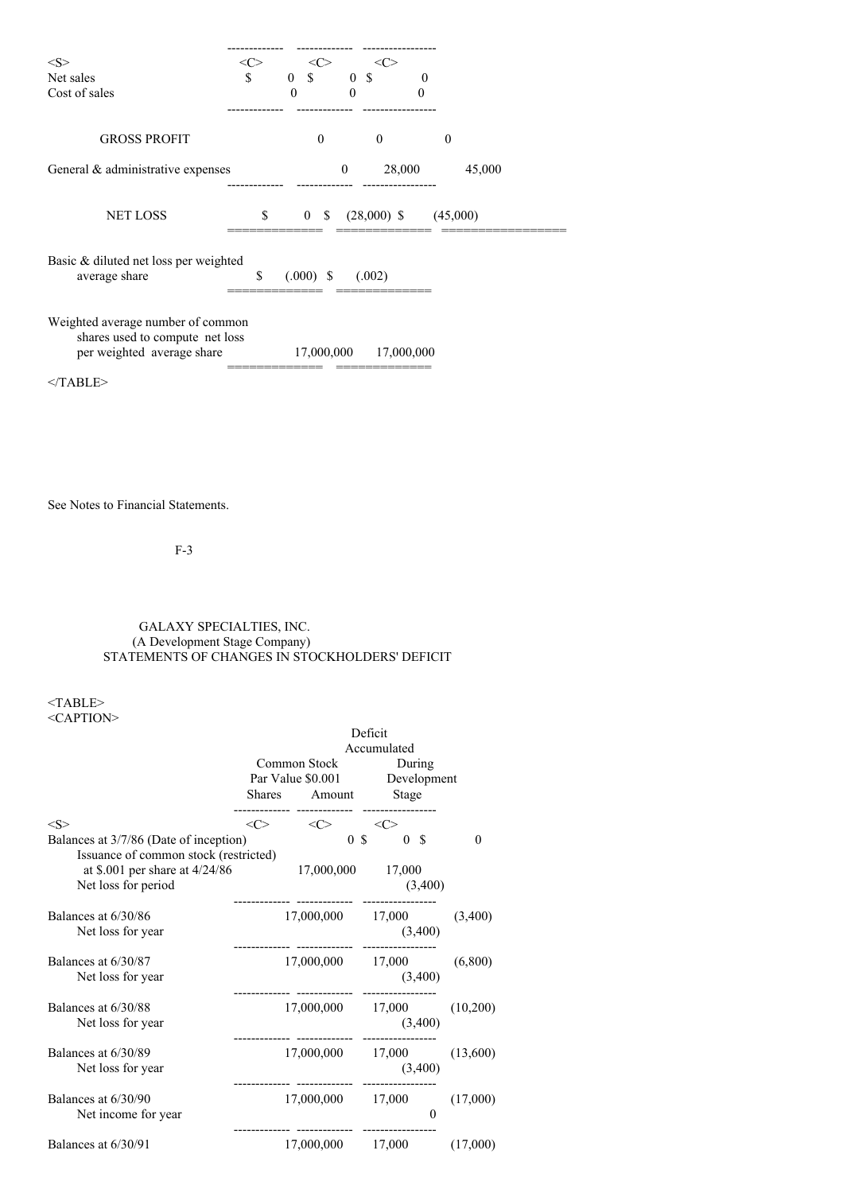| <s><br/>Net sales<br/>Cost of sales</s>                                                            | $<\!\!C\!\!>$<br>\$ | <c><br/><math>\Omega</math><br/>\$<br/><math>\Omega</math></c> | <c><br/><sup>\$</sup><br/>0<br/>0</c> | 0          |          |
|----------------------------------------------------------------------------------------------------|---------------------|----------------------------------------------------------------|---------------------------------------|------------|----------|
| <b>GROSS PROFIT</b>                                                                                |                     | $\theta$                                                       | $\Omega$                              |            | $\Omega$ |
| General & administrative expenses                                                                  |                     |                                                                | $\mathbf{0}$                          | 28,000     | 45,000   |
| <b>NET LOSS</b>                                                                                    | \$                  | 0 S                                                            | $(28,000)$ \$                         |            | (45,000) |
| Basic & diluted net loss per weighted<br>average share                                             | \$                  | $(.000)$ \$                                                    | (.002)                                |            |          |
| Weighted average number of common<br>shares used to compute net loss<br>per weighted average share |                     | 17,000,000                                                     |                                       | 17,000,000 |          |
| $<$ TABLE>                                                                                         |                     |                                                                |                                       |            |          |

See Notes to Financial Statements.

F-3

# GALAXY SPECIALTIES, INC. (A Development Stage Company) STATEMENTS OF CHANGES IN STOCKHOLDERS' DEFICIT

# $<$  TABLE>  $\,$ <CAPTION>

|                                                                                                  | Deficit<br>Accumulated |                                         |                |                |          |          |  |
|--------------------------------------------------------------------------------------------------|------------------------|-----------------------------------------|----------------|----------------|----------|----------|--|
|                                                                                                  |                        | Common Stock                            |                | During         |          |          |  |
|                                                                                                  |                        | Par Value \$0.001 Development           |                |                |          |          |  |
|                                                                                                  |                        | Shares Amount                           |                | Stage          |          |          |  |
| < S >                                                                                            |                        | $\langle C \rangle$ $\langle C \rangle$ |                |                |          |          |  |
| Balances at 3/7/86 (Date of inception)                                                           |                        |                                         | 0 <sup>5</sup> | 0 <sup>5</sup> |          | $\Omega$ |  |
| Issuance of common stock (restricted)<br>at \$.001 per share at $4/24/86$<br>Net loss for period |                        | 17,000,000 17,000                       |                |                | (3,400)  |          |  |
| Balances at 6/30/86                                                                              |                        | 17,000,000 17,000                       |                |                |          | (3,400)  |  |
| Net loss for year                                                                                |                        |                                         |                |                | (3,400)  |          |  |
| Balances at 6/30/87                                                                              |                        | 17,000,000 17,000                       |                |                |          | (6,800)  |  |
| Net loss for year                                                                                |                        |                                         |                |                | (3,400)  |          |  |
| Balances at 6/30/88                                                                              |                        | 17,000,000 17,000                       |                |                |          | (10,200) |  |
| Net loss for year                                                                                |                        |                                         |                |                | (3,400)  |          |  |
| Balances at 6/30/89                                                                              |                        | 17,000,000 17,000                       |                |                |          | (13,600) |  |
| Net loss for year                                                                                |                        |                                         |                |                | (3,400)  |          |  |
| Balances at 6/30/90                                                                              |                        | 17,000,000 17,000                       |                |                |          | (17,000) |  |
| Net income for year                                                                              |                        |                                         |                |                | $\theta$ |          |  |
| Balances at 6/30/91                                                                              |                        | 17,000,000 17,000                       |                |                |          | (17,000) |  |
|                                                                                                  |                        |                                         |                |                |          |          |  |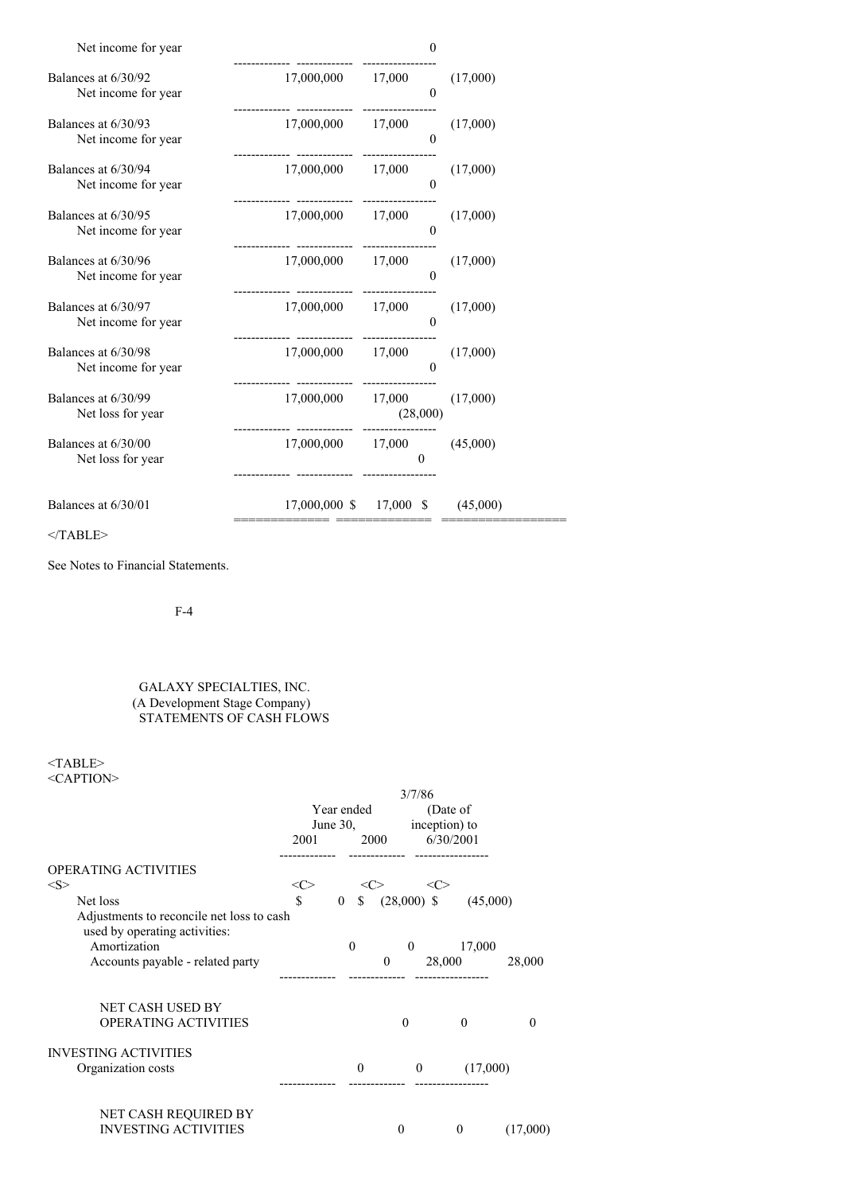| Net income for year<br>. |  |
|--------------------------|--|
|--------------------------|--|

| Balances at 6/30/92<br>Net income for year | 17,000,000 17,000                                        | $\Omega$                                    | (17,000) |
|--------------------------------------------|----------------------------------------------------------|---------------------------------------------|----------|
| Balances at 6/30/93<br>Net income for year | 17,000,000 17,000                                        | $\Omega$                                    | (17,000) |
| Balances at 6/30/94<br>Net income for year | 17,000,000 17,000                                        | $\theta$                                    | (17,000) |
| Balances at 6/30/95<br>Net income for year | 17,000,000 17,000                                        | $\Omega$                                    | (17,000) |
| Balances at 6/30/96<br>Net income for year | 17,000,000 17,000                                        | $\Omega$                                    | (17,000) |
| Balances at 6/30/97<br>Net income for year | 17,000,000 17,000 (17,000)                               | $\Omega$                                    |          |
| Balances at 6/30/98<br>Net income for year | 17,000,000 17,000                                        | $\theta$                                    | (17,000) |
| Balances at 6/30/99<br>Net loss for year   | $17,000,000$ $17,000$ $(17,000)$                         | (28,000)                                    |          |
| Balances at 6/30/00<br>Net loss for year   | 17,000,000 17,000 (45,000)                               | ------------- -----------------<br>$\Omega$ |          |
| Balances at 6/30/01                        | $17,000,000 \text{ }$ \$ $17,000 \text{ }$ \$ $(45,000)$ |                                             |          |

 $<$ /TABLE>

See Notes to Financial Statements.

F-4

# GALAXY SPECIALTIES, INC. (A Development Stage Company) STATEMENTS OF CASH FLOWS

 $<$ TABLE $>$ <CAPTION>

|                                                                            | 3/7/86     |                |               |               |          |
|----------------------------------------------------------------------------|------------|----------------|---------------|---------------|----------|
|                                                                            | Year ended |                |               | (Date of      |          |
|                                                                            |            | June $30$ ,    |               | inception) to |          |
|                                                                            | 2001       | 2000           |               | 6/30/2001     |          |
| <b>OPERATING ACTIVITIES</b>                                                |            |                |               |               |          |
| <s></s>                                                                    | <c></c>    |                | <c></c>       |               |          |
| Net loss                                                                   | \$         | \$<br>$\theta$ | $(28,000)$ \$ |               | (45,000) |
| Adjustments to reconcile net loss to cash<br>used by operating activities: |            |                |               |               |          |
| Amortization                                                               |            | $\theta$       | $\theta$      | 17,000        |          |
| Accounts payable - related party                                           |            |                | $\mathbf{0}$  | 28,000        | 28,000   |
|                                                                            |            |                |               |               |          |
| <b>NET CASH USED BY</b>                                                    |            |                |               |               |          |
| OPERATING ACTIVITIES                                                       |            |                | $\theta$      | $\theta$      | $\Omega$ |
| <b>INVESTING ACTIVITIES</b>                                                |            |                |               |               |          |
| Organization costs                                                         |            | $\theta$       | $\mathbf{0}$  | (17,000)      |          |
|                                                                            |            |                |               |               |          |
|                                                                            |            |                |               |               |          |
| NET CASH REQUIRED BY                                                       |            |                |               |               |          |
| <b>INVESTING ACTIVITIES</b>                                                |            |                | $\theta$      | $\mathbf{0}$  | (17,000) |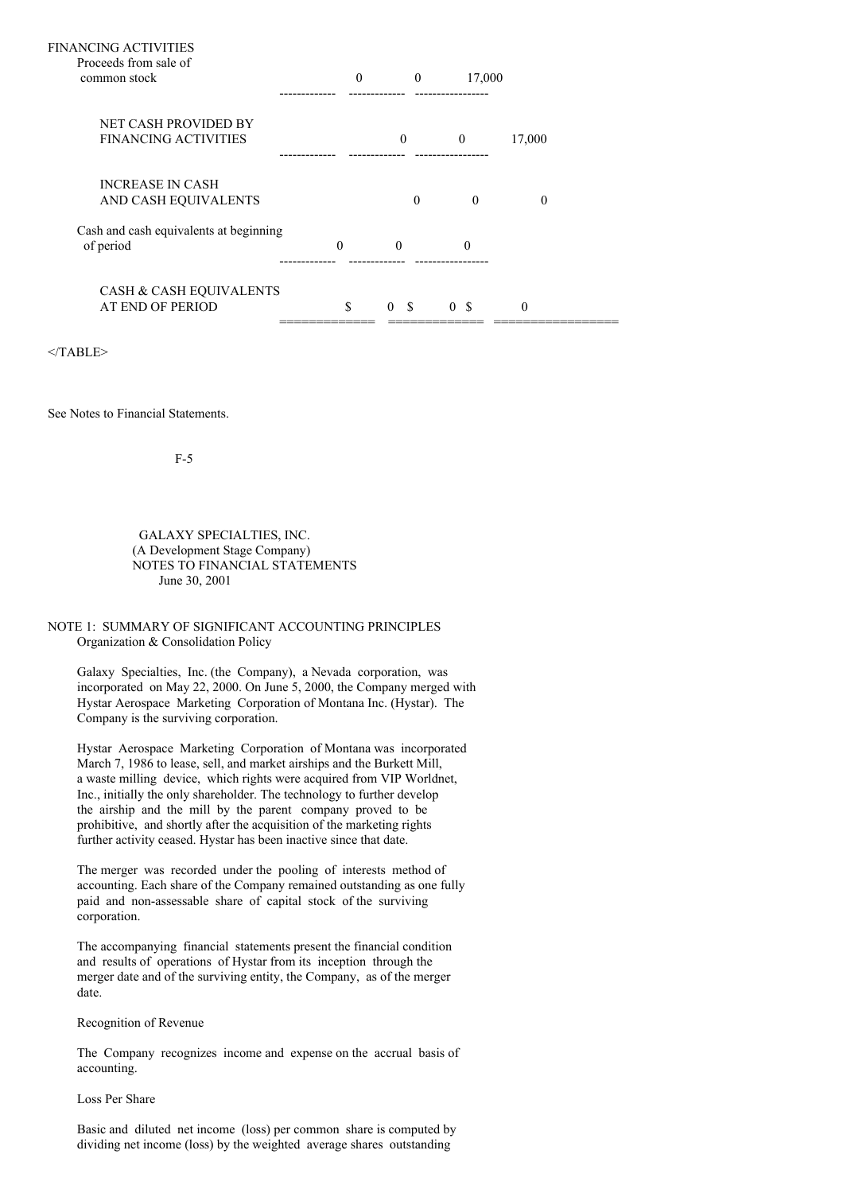| FINANCING ACTIVITIES                   |          |              |                  |                |        |  |
|----------------------------------------|----------|--------------|------------------|----------------|--------|--|
| Proceeds from sale of                  |          |              |                  |                |        |  |
| common stock                           |          | $\mathbf{0}$ | $\mathbf{0}$     | 17,000         |        |  |
|                                        |          |              |                  |                |        |  |
| <b>NET CASH PROVIDED BY</b>            |          |              |                  |                |        |  |
| <b>FINANCING ACTIVITIES</b>            |          |              | $\mathbf{0}$     | $\theta$       | 17,000 |  |
|                                        |          |              |                  |                |        |  |
| <b>INCREASE IN CASH</b>                |          |              |                  |                |        |  |
| AND CASH EQUIVALENTS                   |          |              | $\theta$         | $\Omega$       | 0      |  |
| Cash and cash equivalents at beginning |          |              |                  |                |        |  |
| of period                              | $\theta$ |              | $\Omega$         | $\Omega$       |        |  |
|                                        |          |              |                  |                |        |  |
| CASH & CASH EQUIVALENTS                |          |              |                  |                |        |  |
| <b>AT END OF PERIOD</b>                | \$       |              | - \$<br>$\theta$ | 0 <sup>5</sup> | 0      |  |
|                                        |          |              |                  |                |        |  |

 $<$ /TABLE>

See Notes to Financial Statements.

F-5

## GALAXY SPECIALTIES, INC. (A Development Stage Company) NOTES TO FINANCIAL STATEMENTS June 30, 2001

# NOTE 1: SUMMARY OF SIGNIFICANT ACCOUNTING PRINCIPLES Organization & Consolidation Policy

Galaxy Specialties, Inc. (the Company), a Nevada corporation, was incorporated on May 22, 2000. On June 5, 2000, the Company merged with Hystar Aerospace Marketing Corporation of Montana Inc. (Hystar). The Company is the surviving corporation.

Hystar Aerospace Marketing Corporation of Montana was incorporated March 7, 1986 to lease, sell, and market airships and the Burkett Mill, a waste milling device, which rights were acquired from VIP Worldnet, Inc., initially the only shareholder. The technology to further develop the airship and the mill by the parent company proved to be prohibitive, and shortly after the acquisition of the marketing rights further activity ceased. Hystar has been inactive since that date.

The merger was recorded under the pooling of interests method of accounting. Each share of the Company remained outstanding as one fully paid and non-assessable share of capital stock of the surviving corporation.

The accompanying financial statements present the financial condition and results of operations of Hystar from its inception through the merger date and of the surviving entity, the Company, as of the merger date.

Recognition of Revenue

The Company recognizes income and expense on the accrual basis of accounting.

### Loss Per Share

Basic and diluted net income (loss) per common share is computed by dividing net income (loss) by the weighted average shares outstanding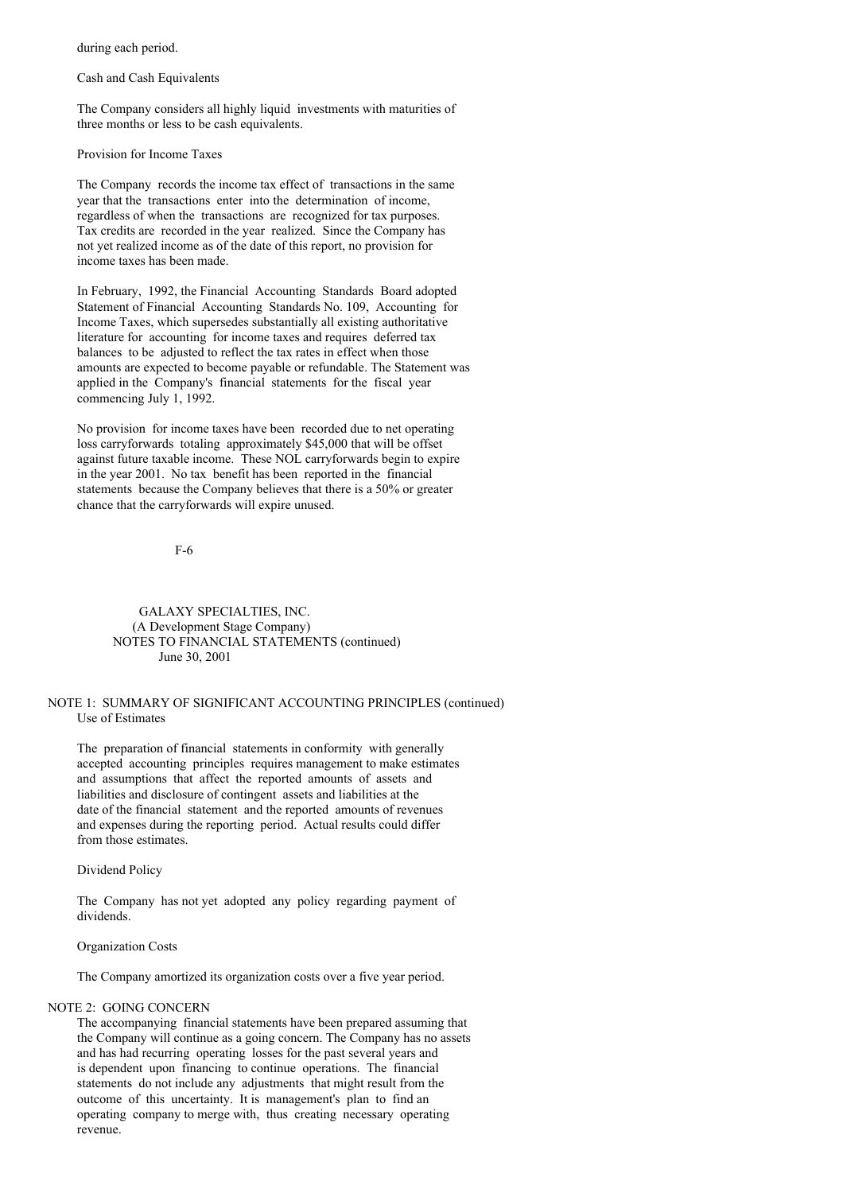during each period.

Cash and Cash Equivalents

The Company considers all highly liquid investments with maturities of three months or less to be cash equivalents.

Provision for Income Taxes

The Company records the income tax effect of transactions in the same year that the transactions enter into the determination of income, regardless of when the transactions are recognized for tax purposes. Tax credits are recorded in the year realized. Since the Company has not yet realized income as of the date of this report, no provision for income taxes has been made.

In February, 1992, the Financial Accounting Standards Board adopted Statement of Financial Accounting Standards No. 109, Accounting for Income Taxes, which supersedes substantially all existing authoritative literature for accounting for income taxes and requires deferred tax balances to be adjusted to reflect the tax rates in effect when those amounts are expected to become payable or refundable. The Statement was applied in the Company's financial statements for the fiscal year commencing July 1, 1992.

No provision for income taxes have been recorded due to net operating loss carryforwards totaling approximately \$45,000 that will be offset against future taxable income. These NOL carryforwards begin to expire in the year 2001. No tax benefit has been reported in the financial statements because the Company believes that there is a 50% or greater chance that the carryforwards will expire unused.

F-6

## GALAXY SPECIALTIES, INC. (A Development Stage Company) NOTES TO FINANCIAL STATEMENTS (continued) June 30, 2001

## NOTE 1: SUMMARY OF SIGNIFICANT ACCOUNTING PRINCIPLES (continued) Use of Estimates

The preparation of financial statements in conformity with generally accepted accounting principles requires management to make estimates and assumptions that affect the reported amounts of assets and liabilities and disclosure of contingent assets and liabilities at the date of the financial statement and the reported amounts of revenues and expenses during the reporting period. Actual results could differ from those estimates.

Dividend Policy

The Company has not yet adopted any policy regarding payment of dividends.

Organization Costs

The Company amortized its organization costs over a five year period.

### NOTE 2: GOING CONCERN

The accompanying financial statements have been prepared assuming that the Company will continue as a going concern. The Company has no assets and has had recurring operating losses for the past several years and is dependent upon financing to continue operations. The financial statements do not include any adjustments that might result from the outcome of this uncertainty. It is management's plan to find an operating company to merge with, thus creating necessary operating revenue.